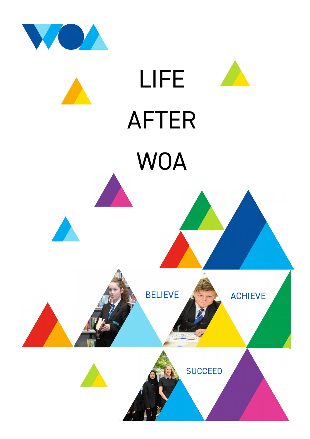

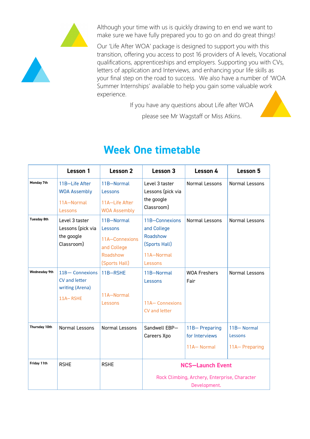

Although your time with us is quickly drawing to en end we want to make sure we have fully prepared you to go on and do great things!

Our 'Life After WOA' package is designed to support you with this transition, offering you access to post 16 providers of A levels, Vocational qualifications, apprenticeships and employers. Supporting you with CVs, letters of application and Interviews, and enhancing your life skills as your final step on the road to success. We also have a number of 'WOA Summer Internships' available to help you gain some valuable work experience.

If you have any questions about Life after WOA



please see Mr Wagstaff or Miss Atkins.

|                      | Lesson 1                                                        | Lesson 2                                                                            | Lesson 3                                                                                 | Lesson 4                                      | Lesson 5                               |
|----------------------|-----------------------------------------------------------------|-------------------------------------------------------------------------------------|------------------------------------------------------------------------------------------|-----------------------------------------------|----------------------------------------|
| Monday 7th           | 11B-Life After<br><b>WOA Assembly</b><br>11A-Normal<br>Lessons  | 11B-Normal<br>Lessons<br>11A-Life After<br><b>WOA Assembly</b>                      | Level 3 taster<br>Lessons (pick via<br>the google<br>Classroom)                          | Normal Lessons                                | <b>Normal Lessons</b>                  |
| <b>Tuesday 8th</b>   | Level 3 taster<br>Lessons (pick via<br>the google<br>Classroom) | 11B-Normal<br>Lessons<br>11A-Connexions<br>and College<br>Roadshow<br>(Sports Hall) | 11B-Connexions<br>and College<br>Roadshow<br>(Sports Hall)<br>11A-Normal<br>Lessons      | Normal Lessons                                | <b>Normal Lessons</b>                  |
| <b>Wednesday 9th</b> | 11B-Connexions<br>CV and letter<br>writing (Arena)<br>11A-RSHE  | 11B-RSHE<br>11A-Normal<br>Lessons                                                   | 11B-Normal<br>Lessons<br>11A-Connexions<br>CV and letter                                 | <b>WOA Freshers</b><br>Fair                   | <b>Normal Lessons</b>                  |
| Thursday 10th        | Normal Lessons                                                  | Normal Lessons                                                                      | Sandwell EBP-<br>Careers Xpo                                                             | 11B-Preparing<br>for Interviews<br>11A-Normal | 11B-Normal<br>Lessons<br>11A-Preparing |
| Friday 11th          | <b>RSHE</b>                                                     | <b>RSHE</b>                                                                         | <b>NCS-Launch Event</b><br>Rock Climbing, Archery, Enterprise, Character<br>Development. |                                               |                                        |

## **Week One timetable**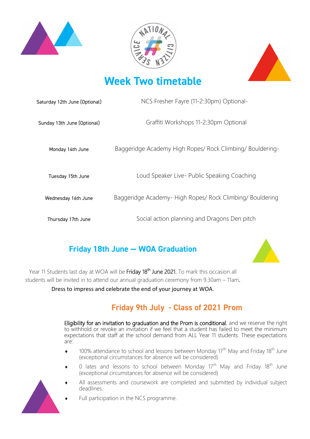





## **Week Two timetable**

| Saturday 12th June (Optional) | NCS Fresher Fayre (11-2:30pm) Optional-                   |  |  |
|-------------------------------|-----------------------------------------------------------|--|--|
| Sunday 13th June (Optional)   | Graffiti Workshops 11-2:30pm Optional                     |  |  |
| Monday 14th June              | Baggeridge Academy High Ropes/ Rock Climbing/ Bouldering- |  |  |
| Tuesday 15th June             | Loud Speaker Live- Public Speaking Coaching               |  |  |
| Wednesday 16th June           | Baggeridge Academy- High Ropes/ Rock Climbing/ Bouldering |  |  |
| Thursday 17th June            | Social action planning and Dragons Den pitch              |  |  |

### **Friday 18th June — WOA Graduation**



Year 11 Students last day at WOA will be Friday 18<sup>th</sup> June 2021. To mark this occasion all students will be invited in to attend our annual graduation ceremony from 9.30am – 11am.

Dress to impress and celebrate the end of your journey at WOA.

### **Friday 9th July - Class of 2021 Prom**

Eligibility for an invitation to graduation and the Prom is conditional, and we reserve the right to withhold or revoke an invitation if we feel that a student has failed to meet the minimum expectations that staff at the school demand from ALL Year 11 students. These expectations are:

- 100% attendance to school and lessons between Monday  $17<sup>th</sup>$  May and Friday 18<sup>th</sup> June (exceptional circumstances for absence will be considered)
- $\bullet$  0 lates and lessons to school between Monday 17<sup>th</sup> May and Friday 18<sup>th</sup> June (exceptional circumstances for absence will be considered)
- All assessments and coursework are completed and submitted by individual subject deadlines.



Full participation in the NCS programme.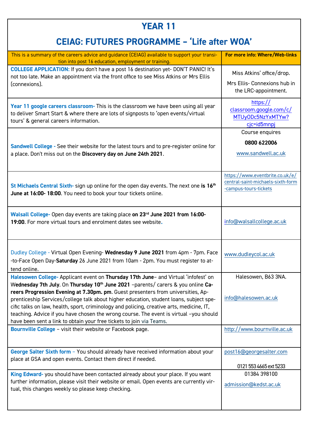## **YEAR 11**

## **CEIAG: FUTURES PROGRAMME – 'Life after WOA'**

| This is a summary of the careers advice and quidance (CEIAG) available to support your transi-<br>tion into post 16 education, employment or training.                                                                                                                                                                                                                                                                                                                                                                                                                                                                           | For more info: Where/Web-links                                                                |
|----------------------------------------------------------------------------------------------------------------------------------------------------------------------------------------------------------------------------------------------------------------------------------------------------------------------------------------------------------------------------------------------------------------------------------------------------------------------------------------------------------------------------------------------------------------------------------------------------------------------------------|-----------------------------------------------------------------------------------------------|
| <b>COLLEGE APPLICATION: If you don't have a post 16 destination yet- DON'T PANIC! It's</b><br>not too late. Make an appointment via the front office to see Miss Atkins or Mrs Ellis<br>(connexions).                                                                                                                                                                                                                                                                                                                                                                                                                            | Miss Atkins' office/drop.<br>Mrs Ellis- Connexions hub in<br>the LRC-appointment.             |
| Year 11 google careers classroom- This is the classroom we have been using all year<br>to deliver Smart Start & where there are lots of signposts to 'open events/virtual<br>tours' & general careers information.                                                                                                                                                                                                                                                                                                                                                                                                               | https://<br>classroom.google.com/c/<br>MTUyODc5NzYxMTYw?<br>cjc=id5mnpj                       |
| Sandwell College - See their website for the latest tours and to pre-register online for<br>a place. Don't miss out on the Discovery day on June 24th 2021.                                                                                                                                                                                                                                                                                                                                                                                                                                                                      | Course enquires<br>0800 622006<br>www.sandwell.ac.uk                                          |
| St Michaels Central Sixth- sign up online for the open day events. The next one is 16 <sup>th</sup><br>June at 16:00-18:00. You need to book your tour tickets online.                                                                                                                                                                                                                                                                                                                                                                                                                                                           | https://www.eventbrite.co.uk/e/<br>central-saint-michaels-sixth-form<br>-campus-tours-tickets |
| Walsall College- Open day events are taking place on 23rd June 2021 from 16:00-<br>19:00. For more virtual tours and enrolment dates see website.                                                                                                                                                                                                                                                                                                                                                                                                                                                                                | info@walsallcollege.ac.uk                                                                     |
| Dudley College - Virtual Open Evening- Wednesday 9 June 2021 from 4pm - 7pm. Face<br>-to-Face Open Day-Saturday 26 June 2021 from 10am - 2pm. You must register to at-<br>tend online.                                                                                                                                                                                                                                                                                                                                                                                                                                           | www.dudleycol.ac.uk                                                                           |
| Halesowen College- Applicant event on Thursday 17th June- and Virtual 'infofest' on<br>Wednesday 7th July. On Thursday 10 <sup>th</sup> June 2021 -parents/ carers & you online Ca-<br>reers Progression Evening at 7.30pm. pm. Guest presenters from universities, Ap-<br>prenticeship Services/college talk about higher education, student loans, subject spe-<br>cific talks on law, health, sport, criminology and policing, creative arts, medicine, IT,<br>teaching. Advice if you have chosen the wrong course. The event is virtual -you should<br>have been sent a link to obtain your free tickets to join via Teams. | Halesowen, B63 3NA.<br>info@halesowen.ac.uk                                                   |
| Bournville College - visit their website or Facebook page.                                                                                                                                                                                                                                                                                                                                                                                                                                                                                                                                                                       | http://www.bournville.ac.uk                                                                   |
| George Salter Sixth form - You should already have received information about your<br>place at GSA and open events. Contact them direct if needed.                                                                                                                                                                                                                                                                                                                                                                                                                                                                               | post16@georgesalter.com<br>0121 553 4665 ext 5233                                             |
| King Edward- you should have been contacted already about your place. If you want<br>further information, please visit their website or email. Open events are currently vir-<br>tual, this changes weekly so please keep checking.                                                                                                                                                                                                                                                                                                                                                                                              | 01384 398100<br>admission@kedst.ac.uk                                                         |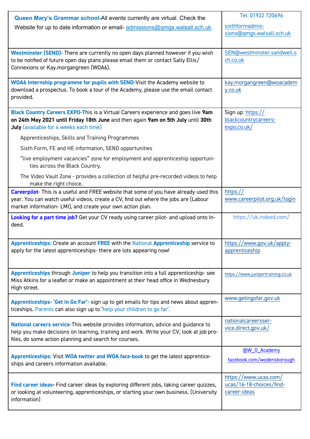| Queen Mary's Grammar school-All events currently are virtual. Check the                                                                                                       | Tel: 01922 720696                 |
|-------------------------------------------------------------------------------------------------------------------------------------------------------------------------------|-----------------------------------|
| Website for up to date information or email-admissions@gmgs.walsall.sch.uk.                                                                                                   | sixthformadmis-                   |
|                                                                                                                                                                               | sions@qmgs.walsall.sch.uk         |
|                                                                                                                                                                               |                                   |
| Westminster (SEND)- There are currently no open days planned however if you wish                                                                                              | SEN@westminster.sandwell.s        |
| to be notified of future open day plans please email them or contact Sally Ellis/<br>Connexions or Kay.morgangreen (WOA6).                                                    | ch.co.uk                          |
|                                                                                                                                                                               |                                   |
| WOA6 Internship programme for pupils with SEND-Visit the Academy website to                                                                                                   | kay.morgangreen@woacadem          |
| download a prospectus. To book a tour of the Academy, please use the email contact<br>provided.                                                                               | y.co.uk                           |
|                                                                                                                                                                               |                                   |
| Black Country Careers EXPO-This is a Virtual Careers experience and goes live 9am                                                                                             | Sign up: https://                 |
| on 24th May 2021 until Friday 18th June and then again 9am on 5th July until 30th                                                                                             | blackcountrycareers-              |
| July (available for 4 weeks each time)                                                                                                                                        | expo.co.uk/                       |
| Apprenticeships, Skills and Training Programmes                                                                                                                               |                                   |
| Sixth Form, FE and HE information, SEND opportunities                                                                                                                         |                                   |
| "live employment vacancies" zone for employment and apprenticeship opportuni-<br>ties across the Black Country.                                                               |                                   |
| The Video Vault Zone - provides a collection of helpful pre-recorded videos to help<br>make the right choice.                                                                 |                                   |
| <b>Careerpilot-</b> This is a useful and FREE website that some of you have already used this                                                                                 | https://                          |
| year. You can watch useful videos, create a CV, find out where the jobs are (Labour<br>market information- LMI), and create your own action plan.                             | www.careerpilot.org.uk/login      |
| Looking for a part time job? Get your CV ready using career pilot- and upload onto In-<br>deed.                                                                               | https://uk.indeed.com/            |
| Apprenticeships: Create an account FREE with the National Apprenticeship service to                                                                                           | https://www.gov.uk/apply-         |
| apply for the latest apprenticeships- there are lots appearing now!                                                                                                           | apprenticeship                    |
|                                                                                                                                                                               |                                   |
| Apprenticeships through Juniper to help you transition into a full apprenticeship-see                                                                                         | https://www.junipertraining.co.uk |
| Miss Atkins for a leaflet or make an appointment at their head office in Wednesbury                                                                                           |                                   |
| High street.                                                                                                                                                                  |                                   |
| Apprenticeships- 'Get in Go Far'- sign up to get emails for tips and news about appren-                                                                                       | www.getingofar.gov.uk             |
| ticeships. Parents can also sign up to 'help your children to go far'.                                                                                                        |                                   |
|                                                                                                                                                                               | nationalcareersser-               |
| National careers service-This website provides information, advice and guidance to<br>help you make decisions on learning, training and work. Write your CV, look at job pro- | vice.direct.gov.uk/               |
| files, do some action planning and search for courses.                                                                                                                        |                                   |
|                                                                                                                                                                               | @W_0_Academy                      |
| Apprenticeships: Visit WOA twitter and WOA face-book to get the latest apprentice-                                                                                            | facebook.com/wodensborough        |
| ships and careers information available.                                                                                                                                      |                                   |
|                                                                                                                                                                               | https://www.ucas.com/             |
| Find career ideas- Find career ideas by exploring different jobs, taking career quizzes,                                                                                      | ucas/16-18-choices/find-          |
| or looking at volunteering, apprenticeships, or starting your own business. (University<br>information)                                                                       | career-ideas                      |
|                                                                                                                                                                               |                                   |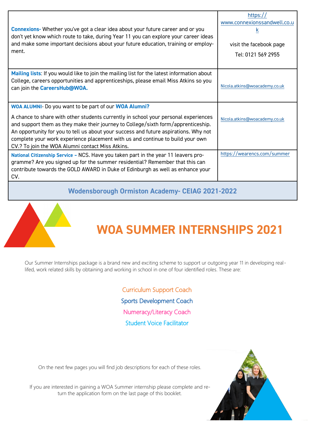| Connexions- Whether you've got a clear idea about your future career and or you<br>don't yet know which route to take, during Year 11 you can explore your career ideas<br>and make some important decisions about your future education, training or employ-<br>ment.                                                                                                                                                                                          | https://<br>www.connexionssandwell.co.u<br>$\underline{k}$<br>visit the facebook page<br>Tel: 0121 569 2955 |  |
|-----------------------------------------------------------------------------------------------------------------------------------------------------------------------------------------------------------------------------------------------------------------------------------------------------------------------------------------------------------------------------------------------------------------------------------------------------------------|-------------------------------------------------------------------------------------------------------------|--|
| Mailing lists: If you would like to join the mailing list for the latest information about<br>College, careers opportunities and apprenticeships, please email Miss Atkins so you<br>can join the CareersHub@WOA.                                                                                                                                                                                                                                               | Nicola.atkins@woacademy.co.uk                                                                               |  |
| WOA ALUMNI- Do you want to be part of our WOA Alumni?<br>A chance to share with other students currently in school your personal experiences<br>and support them as they make their journey to College/sixth form/apprenticeship.<br>An opportunity for you to tell us about your success and future aspirations. Why not<br>complete your work experience placement with us and continue to build your own<br>CV.? To join the WOA Alumni contact Miss Atkins. | Nicola.atkins@woacademy.co.uk                                                                               |  |
| National Citizenship Service - NCS. Have you taken part in the year 11 leavers pro-<br>gramme? Are you signed up for the summer residential? Remember that this can<br>contribute towards the GOLD AWARD in Duke of Edinburgh as well as enhance your<br>CV.                                                                                                                                                                                                    | https://wearencs.com/summer                                                                                 |  |
| <b>Wodensborough Ormiston Academy- CEIAG 2021-2022</b>                                                                                                                                                                                                                                                                                                                                                                                                          |                                                                                                             |  |



# **WOA SUMMER INTERNSHIPS 2021**

Our Summer Internships package is a brand new and exciting scheme to support ur outgoing year 11 in developing reallifed, work related skills by obtaining and working in school in one of four identified roles. These are:

> Curriculum Support Coach Sports Development Coach Numeracy/Literacy Coach Student Voice Facilitator

On the next few pages you will find job descriptions for each of these roles.

If you are interested in gaining a WOA Summer internship please complete and return the application form on the last page of this booklet.

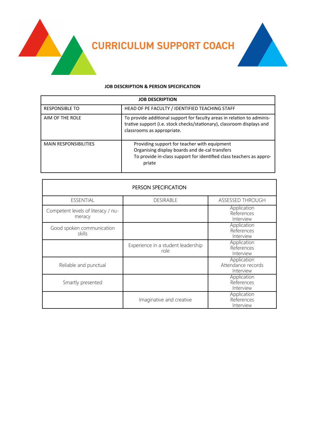**CURRICULUM SUPPORT COACH**



#### **JOB DESCRIPTION & PERSON SPECIFICATION**

| <b>JOB DESCRIPTION</b>       |                                                                                                                                                                                 |  |
|------------------------------|---------------------------------------------------------------------------------------------------------------------------------------------------------------------------------|--|
| <b>RESPONSIBLE TO</b>        | HEAD OF PE FACULTY / IDENTIFIED TEACHING STAFF                                                                                                                                  |  |
| AIM OF THE ROLE              | To provide additional support for faculty areas in relation to adminis-<br>trative support (i.e. stock checks/stationary), classroom displays and<br>classrooms as appropriate. |  |
| <b>MAIN RESPONSIBILITIES</b> | Providing support for teacher with equipment<br>Organising display boards and de-cal transfers<br>To provide in-class support for identified class teachers as appro-<br>priate |  |

| PERSON SPECIFICATION                         |                                            |                                                |  |
|----------------------------------------------|--------------------------------------------|------------------------------------------------|--|
| ESSENTIAL                                    | <b>DESIRABLE</b>                           | ASSESSED THROUGH                               |  |
| Competent levels of literacy / nu-<br>meracy |                                            | Application<br>References<br>Interview         |  |
| Good spoken communication<br>skills          |                                            | Application<br>References<br>Interview         |  |
|                                              | Experience in a student leadership<br>role | Application<br>References<br>Interview         |  |
| Reliable and punctual                        |                                            | Application<br>Attendance records<br>Interview |  |
| Smartly presented                            |                                            | Application<br>References<br>Interview         |  |
|                                              | Imaginative and creative                   | Application<br>References<br>Interview         |  |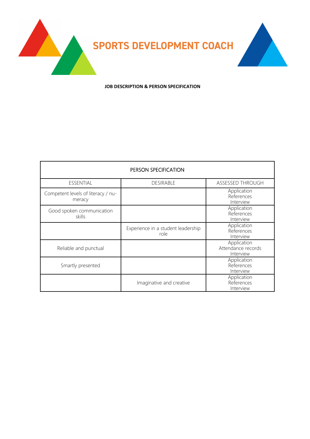

**JOB DESCRIPTION & PERSON SPECIFICATION**

| PERSON SPECIFICATION                         |                                            |                                                |  |
|----------------------------------------------|--------------------------------------------|------------------------------------------------|--|
| ESSENTIAL                                    | <b>DESIRABLE</b>                           | ASSESSED THROUGH                               |  |
| Competent levels of literacy / nu-<br>meracy |                                            | Application<br>References<br>Interview         |  |
| Good spoken communication<br>skills          |                                            | Application<br>References<br>Interview         |  |
|                                              | Experience in a student leadership<br>role | Application<br>References<br>Interview         |  |
| Reliable and punctual                        |                                            | Application<br>Attendance records<br>Interview |  |
| Smartly presented                            |                                            | Application<br>References<br>Interview         |  |
|                                              | Imaginative and creative                   | Application<br>References<br>Interview         |  |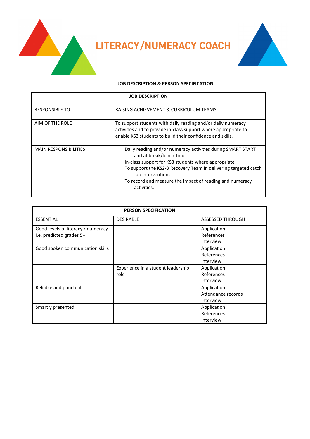**LITERACY/NUMERACY COACH**



#### **JOB DESCRIPTION & PERSON SPECIFICATION**

| <b>JOB DESCRIPTION</b>       |                                                                                                                                                                                                                                                                                                                  |  |
|------------------------------|------------------------------------------------------------------------------------------------------------------------------------------------------------------------------------------------------------------------------------------------------------------------------------------------------------------|--|
| <b>RESPONSIBLE TO</b>        | RAISING ACHIEVEMENT & CURRICULUM TEAMS                                                                                                                                                                                                                                                                           |  |
| AIM OF THE ROLE              | To support students with daily reading and/or daily numeracy<br>activities and to provide in-class support where appropriate to<br>enable KS3 students to build their confidence and skills.                                                                                                                     |  |
| <b>MAIN RESPONSIBILITIES</b> | Daily reading and/or numeracy activities during SMART START<br>and at break/lunch-time<br>In-class support for KS3 students where appropriate<br>To support the KS2-3 Recovery Team in delivering targeted catch<br>-up interventions<br>To record and measure the impact of reading and numeracy<br>activities. |  |

| <b>PERSON SPECIFICATION</b>                                    |                                            |                                                |
|----------------------------------------------------------------|--------------------------------------------|------------------------------------------------|
| <b>ESSENTIAL</b>                                               | <b>DESIRABLE</b>                           | <b>ASSESSED THROUGH</b>                        |
| Good levels of literacy / numeracy<br>i.e. predicted grades 5+ |                                            | Application<br>References<br>Interview         |
| Good spoken communication skills                               |                                            | Application<br>References<br>Interview         |
|                                                                | Experience in a student leadership<br>role | Application<br>References<br>Interview         |
| Reliable and punctual                                          |                                            | Application<br>Attendance records<br>Interview |
| Smartly presented                                              |                                            | Application<br>References<br>Interview         |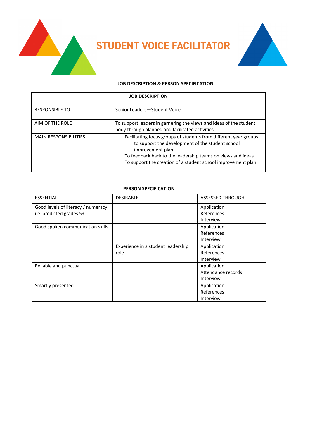



#### **JOB DESCRIPTION & PERSON SPECIFICATION**

| <b>JOB DESCRIPTION</b>       |                                                                                                                                                                                                                                                                           |  |
|------------------------------|---------------------------------------------------------------------------------------------------------------------------------------------------------------------------------------------------------------------------------------------------------------------------|--|
| <b>RESPONSIBLE TO</b>        | Senior Leaders-Student Voice                                                                                                                                                                                                                                              |  |
| AIM OF THE ROLE              | To support leaders in garnering the views and ideas of the student<br>body through planned and facilitated activities.                                                                                                                                                    |  |
| <b>MAIN RESPONSIBILITIES</b> | Facilitating focus groups of students from different year groups<br>to support the development of the student school<br>improvement plan.<br>To feedback back to the leadership teams on views and ideas<br>To support the creation of a student school improvement plan. |  |

| <b>PERSON SPECIFICATION</b>                                    |                                            |                                                |
|----------------------------------------------------------------|--------------------------------------------|------------------------------------------------|
| <b>ESSENTIAL</b>                                               | <b>DESIRABLE</b>                           | <b>ASSESSED THROUGH</b>                        |
| Good levels of literacy / numeracy<br>i.e. predicted grades 5+ |                                            | Application<br>References<br>Interview         |
| Good spoken communication skills                               |                                            | Application<br>References<br>Interview         |
|                                                                | Experience in a student leadership<br>role | Application<br>References<br>Interview         |
| Reliable and punctual                                          |                                            | Application<br>Attendance records<br>Interview |
| Smartly presented                                              |                                            | Application<br>References<br>Interview         |